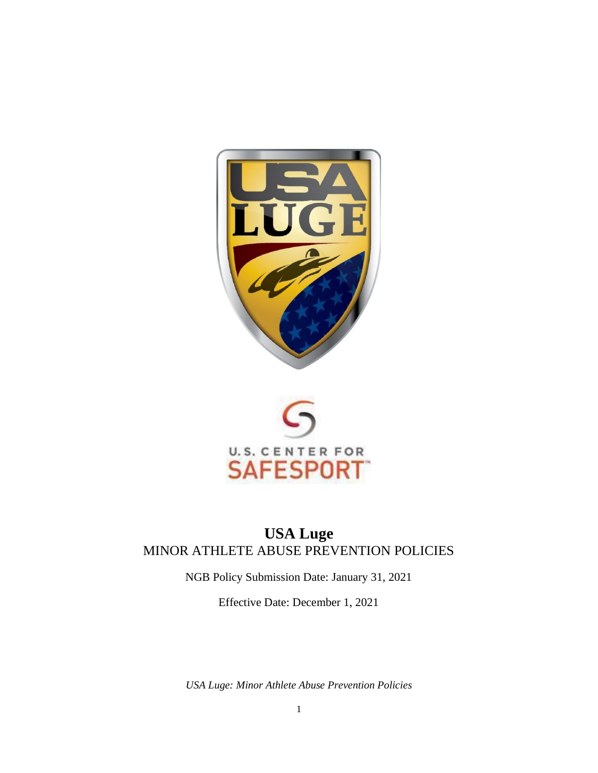



# **USA Luge**  MINOR ATHLETE ABUSE PREVENTION POLICIES

NGB Policy Submission Date: January 31, 2021

Effective Date: December 1, 2021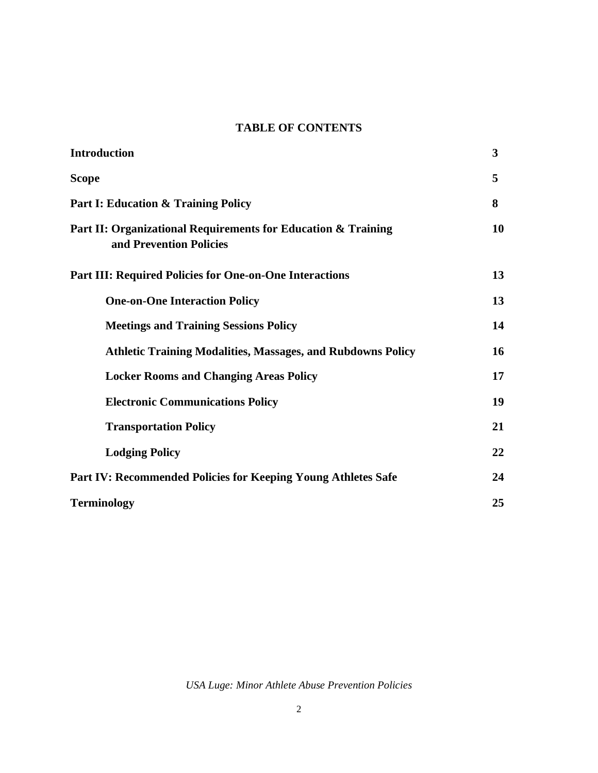#### **TABLE OF CONTENTS**

| <b>Introduction</b>                                                                      | 3  |
|------------------------------------------------------------------------------------------|----|
| <b>Scope</b>                                                                             | 5  |
| <b>Part I: Education &amp; Training Policy</b>                                           | 8  |
| Part II: Organizational Requirements for Education & Training<br>and Prevention Policies | 10 |
| <b>Part III: Required Policies for One-on-One Interactions</b>                           | 13 |
| <b>One-on-One Interaction Policy</b>                                                     | 13 |
| <b>Meetings and Training Sessions Policy</b>                                             | 14 |
| <b>Athletic Training Modalities, Massages, and Rubdowns Policy</b>                       | 16 |
| <b>Locker Rooms and Changing Areas Policy</b>                                            | 17 |
| <b>Electronic Communications Policy</b>                                                  | 19 |
| <b>Transportation Policy</b>                                                             | 21 |
| <b>Lodging Policy</b>                                                                    | 22 |
| <b>Part IV: Recommended Policies for Keeping Young Athletes Safe</b>                     | 24 |
| <b>Terminology</b>                                                                       | 25 |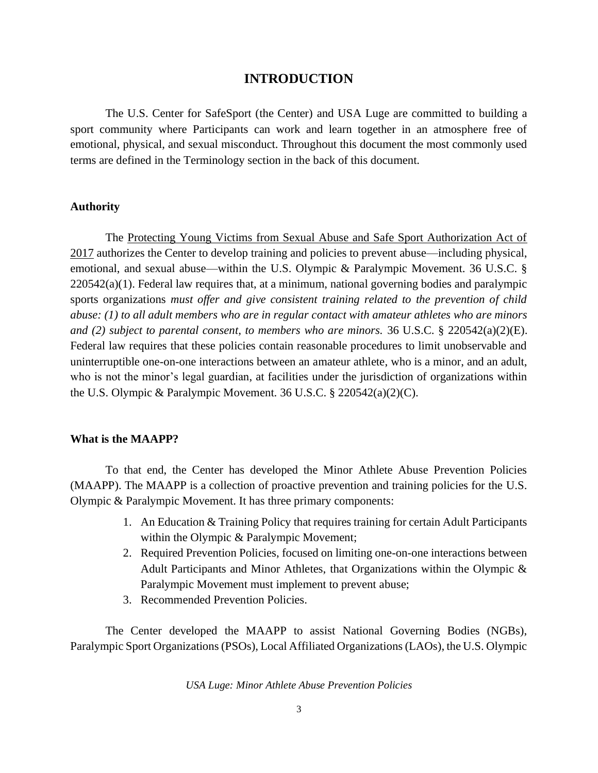#### **INTRODUCTION**

The U.S. Center for SafeSport (the Center) and USA Luge are committed to building a sport community where Participants can work and learn together in an atmosphere free of emotional, physical, and sexual misconduct. Throughout this document the most commonly used terms are defined in the Terminology section in the back of this document.

#### **Authority**

The Protecting Young Victims from Sexual Abuse and Safe Sport Authorization Act of 2017 authorizes the Center to develop training and policies to prevent abuse—including physical, emotional, and sexual abuse—within the U.S. Olympic & Paralympic Movement. 36 U.S.C. § 220542(a)(1). Federal law requires that, at a minimum, national governing bodies and paralympic sports organizations *must offer and give consistent training related to the prevention of child abuse: (1) to all adult members who are in regular contact with amateur athletes who are minors and (2) subject to parental consent, to members who are minors.* 36 U.S.C. § 220542(a)(2)(E). Federal law requires that these policies contain reasonable procedures to limit unobservable and uninterruptible one-on-one interactions between an amateur athlete, who is a minor, and an adult, who is not the minor's legal guardian, at facilities under the jurisdiction of organizations within the U.S. Olympic & Paralympic Movement. 36 U.S.C. § 220542(a)(2)(C).

#### **What is the MAAPP?**

To that end, the Center has developed the Minor Athlete Abuse Prevention Policies (MAAPP). The MAAPP is a collection of proactive prevention and training policies for the U.S. Olympic & Paralympic Movement. It has three primary components:

- 1. An Education & Training Policy that requires training for certain Adult Participants within the Olympic & Paralympic Movement;
- 2. Required Prevention Policies, focused on limiting one-on-one interactions between Adult Participants and Minor Athletes, that Organizations within the Olympic & Paralympic Movement must implement to prevent abuse;
- 3. Recommended Prevention Policies.

The Center developed the MAAPP to assist National Governing Bodies (NGBs), Paralympic Sport Organizations (PSOs), Local Affiliated Organizations (LAOs), the U.S. Olympic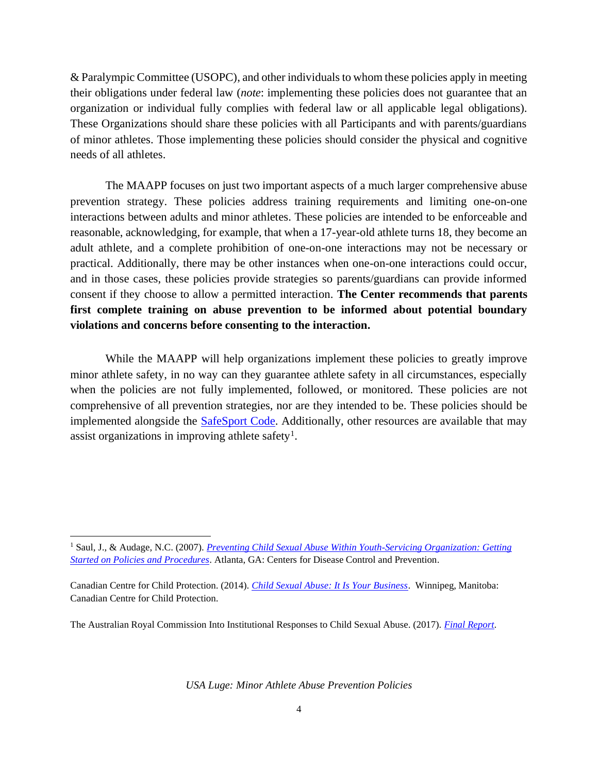& Paralympic Committee (USOPC), and other individuals to whom these policies apply in meeting their obligations under federal law (*note*: implementing these policies does not guarantee that an organization or individual fully complies with federal law or all applicable legal obligations). These Organizations should share these policies with all Participants and with parents/guardians of minor athletes. Those implementing these policies should consider the physical and cognitive needs of all athletes.

The MAAPP focuses on just two important aspects of a much larger comprehensive abuse prevention strategy. These policies address training requirements and limiting one-on-one interactions between adults and minor athletes. These policies are intended to be enforceable and reasonable, acknowledging, for example, that when a 17-year-old athlete turns 18, they become an adult athlete, and a complete prohibition of one-on-one interactions may not be necessary or practical. Additionally, there may be other instances when one-on-one interactions could occur, and in those cases, these policies provide strategies so parents/guardians can provide informed consent if they choose to allow a permitted interaction. **The Center recommends that parents first complete training on abuse prevention to be informed about potential boundary violations and concerns before consenting to the interaction.**

While the MAAPP will help organizations implement these policies to greatly improve minor athlete safety, in no way can they guarantee athlete safety in all circumstances, especially when the policies are not fully implemented, followed, or monitored. These policies are not comprehensive of all prevention strategies, nor are they intended to be. These policies should be implemented alongside the **SafeSport Code**. Additionally, other resources are available that may assist organizations in improving athlete safety<sup>1</sup>.

The Australian Royal Commission Into Institutional Responses to Child Sexual Abuse. (2017). *[Final Report](https://www.childabuseroyalcommission.gov.au/final-report)*.

<sup>&</sup>lt;sup>1</sup> Saul, J., & Audage, N.C. (2007). *Preventing Child Sexual Abuse Within Youth-Servicing Organization: Getting [Started on Policies and Procedures](https://www.cdc.gov/violenceprevention/pdf/PreventingChildSexualAbuse-a.pdf)*. Atlanta, GA: Centers for Disease Control and Prevention.

Canadian Centre for Child Protection. (2014). *[Child Sexual Abuse: It Is Your Business](https://www.protectchildren.ca/pdfs/C3P_ChildSexualAbuse_ItIsYourBusiness_en.pdf)*. Winnipeg, Manitoba: Canadian Centre for Child Protection.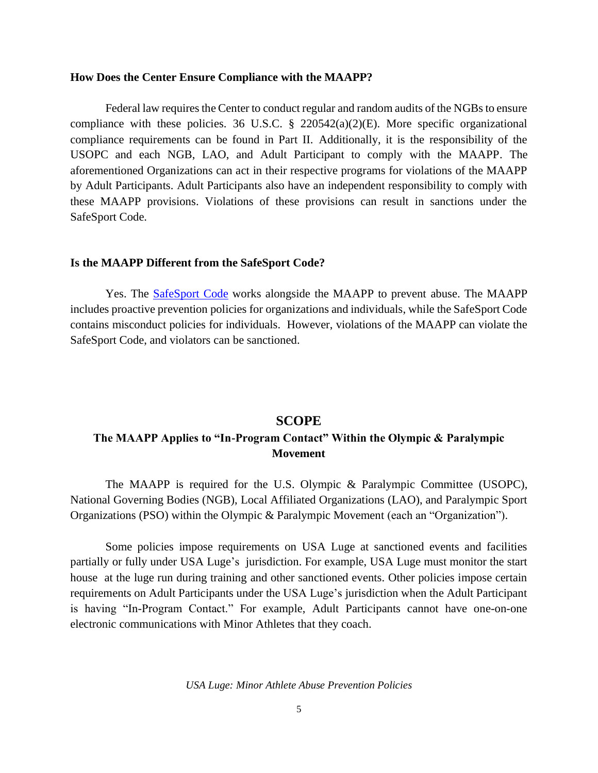#### **How Does the Center Ensure Compliance with the MAAPP?**

Federal law requires the Center to conduct regular and random audits of the NGBs to ensure compliance with these policies. 36 U.S.C. § 220542(a)(2)(E). More specific organizational compliance requirements can be found in Part II. Additionally, it is the responsibility of the USOPC and each NGB, LAO, and Adult Participant to comply with the MAAPP. The aforementioned Organizations can act in their respective programs for violations of the MAAPP by Adult Participants. Adult Participants also have an independent responsibility to comply with these MAAPP provisions. Violations of these provisions can result in sanctions under the SafeSport Code.

#### **Is the MAAPP Different from the SafeSport Code?**

Yes. The [SafeSport Code](https://uscenterforsafesport.org/response-and-resolution/safesport-code/) works alongside the MAAPP to prevent abuse. The MAAPP includes proactive prevention policies for organizations and individuals, while the SafeSport Code contains misconduct policies for individuals. However, violations of the MAAPP can violate the SafeSport Code, and violators can be sanctioned.

#### **SCOPE**

## **The MAAPP Applies to "In-Program Contact" Within the Olympic & Paralympic Movement**

The MAAPP is required for the U.S. Olympic & Paralympic Committee (USOPC), National Governing Bodies (NGB), Local Affiliated Organizations (LAO), and Paralympic Sport Organizations (PSO) within the Olympic & Paralympic Movement (each an "Organization").

Some policies impose requirements on USA Luge at sanctioned events and facilities partially or fully under USA Luge's jurisdiction. For example, USA Luge must monitor the start house at the luge run during training and other sanctioned events. Other policies impose certain requirements on Adult Participants under the USA Luge's jurisdiction when the Adult Participant is having "In-Program Contact." For example, Adult Participants cannot have one-on-one electronic communications with Minor Athletes that they coach.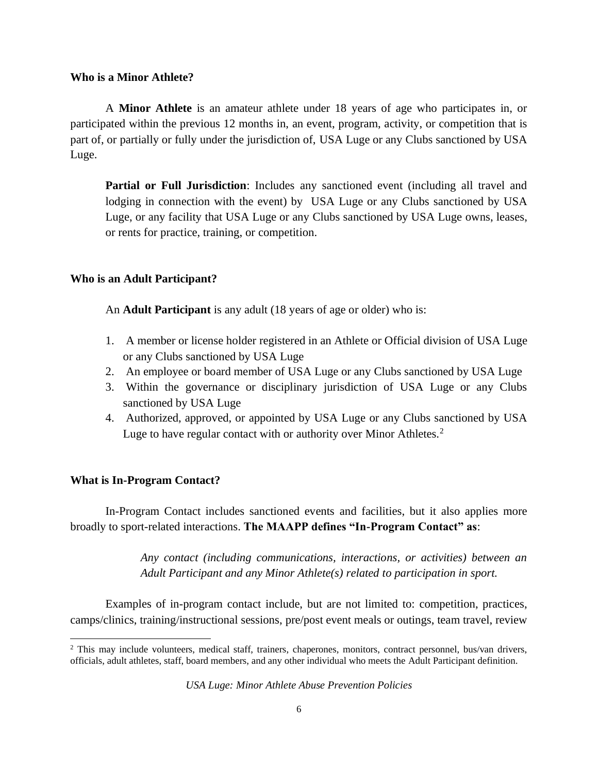#### **Who is a Minor Athlete?**

A **Minor Athlete** is an amateur athlete under 18 years of age who participates in, or participated within the previous 12 months in, an event, program, activity, or competition that is part of, or partially or fully under the jurisdiction of, USA Luge or any Clubs sanctioned by USA Luge.

**Partial or Full Jurisdiction**: Includes any sanctioned event (including all travel and lodging in connection with the event) by USA Luge or any Clubs sanctioned by USA Luge, or any facility that USA Luge or any Clubs sanctioned by USA Luge owns, leases, or rents for practice, training, or competition.

#### **Who is an Adult Participant?**

An **Adult Participant** is any adult (18 years of age or older) who is:

- 1. A member or license holder registered in an Athlete or Official division of USA Luge or any Clubs sanctioned by USA Luge
- 2. An employee or board member of USA Luge or any Clubs sanctioned by USA Luge
- 3. Within the governance or disciplinary jurisdiction of USA Luge or any Clubs sanctioned by USA Luge
- 4. Authorized, approved, or appointed by USA Luge or any Clubs sanctioned by USA Luge to have regular contact with or authority over Minor Athletes.<sup>2</sup>

#### **What is In-Program Contact?**

In-Program Contact includes sanctioned events and facilities, but it also applies more broadly to sport-related interactions. **The MAAPP defines "In-Program Contact" as**:

> *Any contact (including communications, interactions, or activities) between an Adult Participant and any Minor Athlete(s) related to participation in sport.*

Examples of in-program contact include, but are not limited to: competition, practices, camps/clinics, training/instructional sessions, pre/post event meals or outings, team travel, review

<sup>&</sup>lt;sup>2</sup> This may include volunteers, medical staff, trainers, chaperones, monitors, contract personnel, bus/van drivers, officials, adult athletes, staff, board members, and any other individual who meets the Adult Participant definition.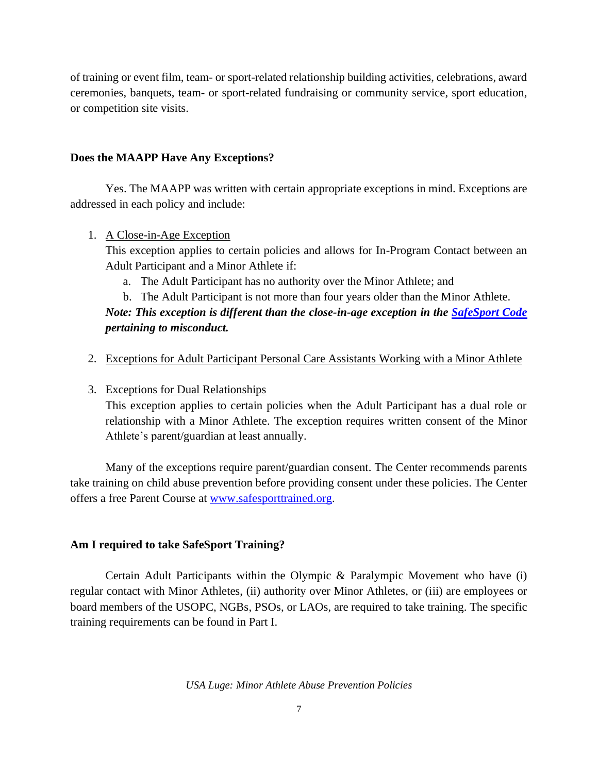of training or event film, team- or sport-related relationship building activities, celebrations, award ceremonies, banquets, team- or sport-related fundraising or community service, sport education, or competition site visits.

#### **Does the MAAPP Have Any Exceptions?**

Yes. The MAAPP was written with certain appropriate exceptions in mind. Exceptions are addressed in each policy and include:

#### 1. A Close-in-Age Exception

This exception applies to certain policies and allows for In-Program Contact between an Adult Participant and a Minor Athlete if:

a. The Adult Participant has no authority over the Minor Athlete; and

# b. The Adult Participant is not more than four years older than the Minor Athlete.

## *Note: This exception is different than the close-in-age exception in the [SafeSport Code](https://uscenterforsafesport.org/response-and-resolution/safesport-code/) pertaining to misconduct.*

2. Exceptions for Adult Participant Personal Care Assistants Working with a Minor Athlete

## 3. Exceptions for Dual Relationships

This exception applies to certain policies when the Adult Participant has a dual role or relationship with a Minor Athlete. The exception requires written consent of the Minor Athlete's parent/guardian at least annually.

Many of the exceptions require parent/guardian consent. The Center recommends parents take training on child abuse prevention before providing consent under these policies. The Center offers a free Parent Course at [www.safesporttrained.org.](http://www.safesporttrained.org/)

## **Am I required to take SafeSport Training?**

Certain Adult Participants within the Olympic & Paralympic Movement who have (i) regular contact with Minor Athletes, (ii) authority over Minor Athletes, or (iii) are employees or board members of the USOPC, NGBs, PSOs, or LAOs, are required to take training. The specific training requirements can be found in Part I.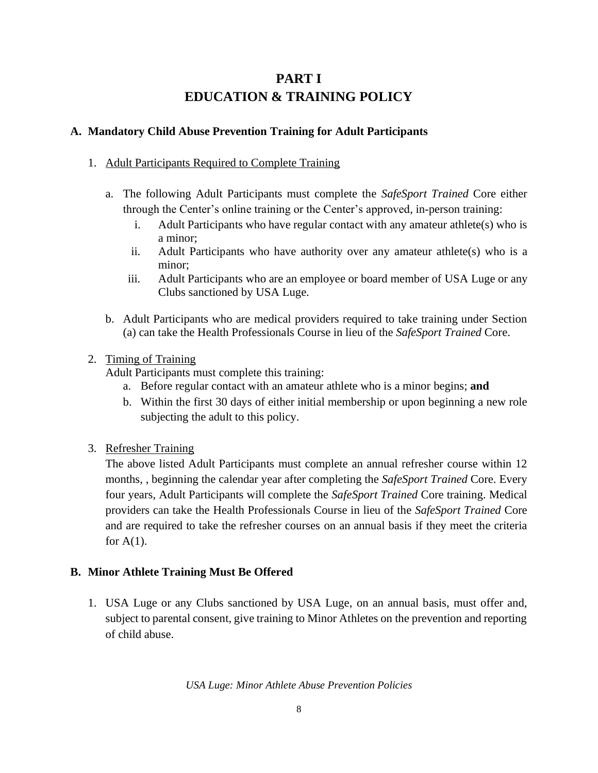# **PART I EDUCATION & TRAINING POLICY**

## **A. Mandatory Child Abuse Prevention Training for Adult Participants**

#### 1. Adult Participants Required to Complete Training

- a. The following Adult Participants must complete the *SafeSport Trained* Core either through the Center's online training or the Center's approved, in-person training:
	- i. Adult Participants who have regular contact with any amateur athlete(s) who is a minor;
	- ii. Adult Participants who have authority over any amateur athlete(s) who is a minor;
	- iii. Adult Participants who are an employee or board member of USA Luge or any Clubs sanctioned by USA Luge.
- b. Adult Participants who are medical providers required to take training under Section (a) can take the Health Professionals Course in lieu of the *SafeSport Trained* Core.

#### 2. Timing of Training

Adult Participants must complete this training:

- a. Before regular contact with an amateur athlete who is a minor begins; **and**
- b. Within the first 30 days of either initial membership or upon beginning a new role subjecting the adult to this policy.
- 3. Refresher Training

The above listed Adult Participants must complete an annual refresher course within 12 months, , beginning the calendar year after completing the *SafeSport Trained* Core. Every four years, Adult Participants will complete the *SafeSport Trained* Core training. Medical providers can take the Health Professionals Course in lieu of the *SafeSport Trained* Core and are required to take the refresher courses on an annual basis if they meet the criteria for  $A(1)$ .

## **B. Minor Athlete Training Must Be Offered**

1. USA Luge or any Clubs sanctioned by USA Luge, on an annual basis, must offer and, subject to parental consent, give training to Minor Athletes on the prevention and reporting of child abuse.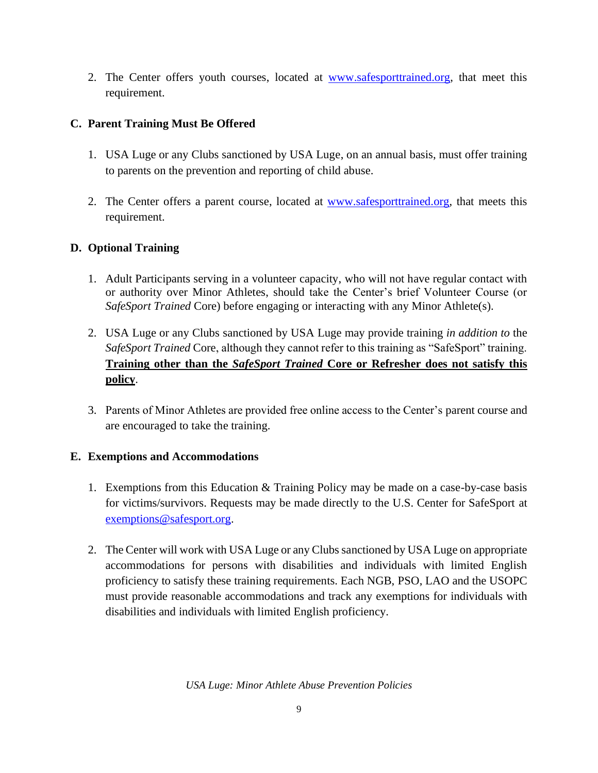2. The Center offers youth courses, located at [www.safesporttrained.org,](http://www.safesporttrained.org/) that meet this requirement.

## **C. Parent Training Must Be Offered**

- 1. USA Luge or any Clubs sanctioned by USA Luge, on an annual basis, must offer training to parents on the prevention and reporting of child abuse.
- 2. The Center offers a parent course, located at [www.safesporttrained.org,](http://www.safesporttrained.org/) that meets this requirement.

## **D. Optional Training**

- 1. Adult Participants serving in a volunteer capacity, who will not have regular contact with or authority over Minor Athletes, should take the Center's brief Volunteer Course (or *SafeSport Trained* Core) before engaging or interacting with any Minor Athlete(s).
- 2. USA Luge or any Clubs sanctioned by USA Luge may provide training *in addition to* the *SafeSport Trained* Core, although they cannot refer to this training as "SafeSport" training. **Training other than the** *SafeSport Trained* **Core or Refresher does not satisfy this policy**.
- 3. Parents of Minor Athletes are provided free online access to the Center's parent course and are encouraged to take the training.

## **E. Exemptions and Accommodations**

- 1. Exemptions from this Education & Training Policy may be made on a case-by-case basis for victims/survivors. Requests may be made directly to the U.S. Center for SafeSport at [exemptions@safesport.org.](mailto:training@safesport.org)
- 2. The Center will work with USA Luge or any Clubs sanctioned by USA Luge on appropriate accommodations for persons with disabilities and individuals with limited English proficiency to satisfy these training requirements. Each NGB, PSO, LAO and the USOPC must provide reasonable accommodations and track any exemptions for individuals with disabilities and individuals with limited English proficiency.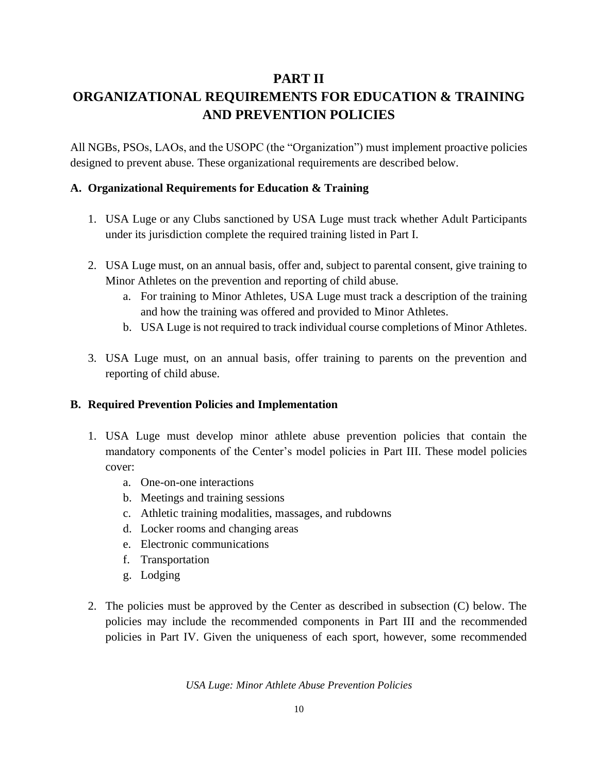## **PART II**

# **ORGANIZATIONAL REQUIREMENTS FOR EDUCATION & TRAINING AND PREVENTION POLICIES**

All NGBs, PSOs, LAOs, and the USOPC (the "Organization") must implement proactive policies designed to prevent abuse. These organizational requirements are described below.

#### **A. Organizational Requirements for Education & Training**

- 1. USA Luge or any Clubs sanctioned by USA Luge must track whether Adult Participants under its jurisdiction complete the required training listed in Part I.
- 2. USA Luge must, on an annual basis, offer and, subject to parental consent, give training to Minor Athletes on the prevention and reporting of child abuse.
	- a. For training to Minor Athletes, USA Luge must track a description of the training and how the training was offered and provided to Minor Athletes.
	- b. USA Luge is not required to track individual course completions of Minor Athletes.
- 3. USA Luge must, on an annual basis, offer training to parents on the prevention and reporting of child abuse.

## **B. Required Prevention Policies and Implementation**

- 1. USA Luge must develop minor athlete abuse prevention policies that contain the mandatory components of the Center's model policies in Part III. These model policies cover:
	- a. One-on-one interactions
	- b. Meetings and training sessions
	- c. Athletic training modalities, massages, and rubdowns
	- d. Locker rooms and changing areas
	- e. Electronic communications
	- f. Transportation
	- g. Lodging
- 2. The policies must be approved by the Center as described in subsection (C) below. The policies may include the recommended components in Part III and the recommended policies in Part IV. Given the uniqueness of each sport, however, some recommended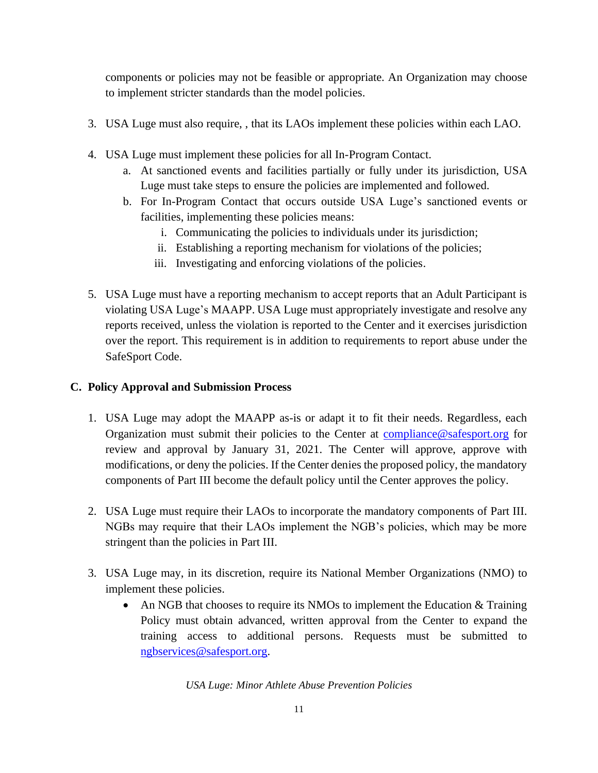components or policies may not be feasible or appropriate. An Organization may choose to implement stricter standards than the model policies.

- 3. USA Luge must also require, , that its LAOs implement these policies within each LAO.
- 4. USA Luge must implement these policies for all In-Program Contact.
	- a. At sanctioned events and facilities partially or fully under its jurisdiction, USA Luge must take steps to ensure the policies are implemented and followed.
	- b. For In-Program Contact that occurs outside USA Luge's sanctioned events or facilities, implementing these policies means:
		- i. Communicating the policies to individuals under its jurisdiction;
		- ii. Establishing a reporting mechanism for violations of the policies;
		- iii. Investigating and enforcing violations of the policies.
- 5. USA Luge must have a reporting mechanism to accept reports that an Adult Participant is violating USA Luge's MAAPP. USA Luge must appropriately investigate and resolve any reports received, unless the violation is reported to the Center and it exercises jurisdiction over the report. This requirement is in addition to requirements to report abuse under the SafeSport Code.

## **C. Policy Approval and Submission Process**

- 1. USA Luge may adopt the MAAPP as-is or adapt it to fit their needs. Regardless, each Organization must submit their policies to the Center at [compliance@safesport.org](mailto:compliance@safesport.org) for review and approval by January 31, 2021. The Center will approve, approve with modifications, or deny the policies. If the Center denies the proposed policy, the mandatory components of Part III become the default policy until the Center approves the policy.
- 2. USA Luge must require their LAOs to incorporate the mandatory components of Part III. NGBs may require that their LAOs implement the NGB's policies, which may be more stringent than the policies in Part III.
- 3. USA Luge may, in its discretion, require its National Member Organizations (NMO) to implement these policies.
	- An NGB that chooses to require its NMOs to implement the Education & Training Policy must obtain advanced, written approval from the Center to expand the training access to additional persons. Requests must be submitted to [ngbservices@safesport.org.](mailto:ngbservices@safesport.org)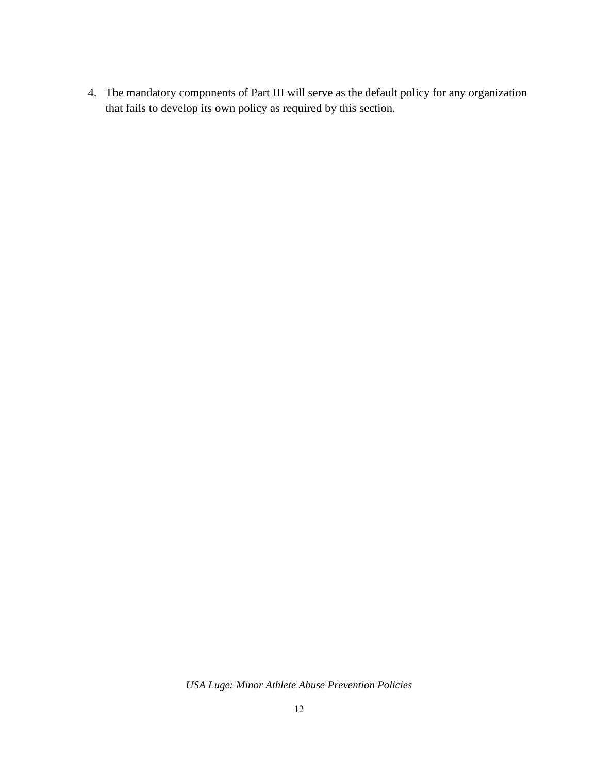4. The mandatory components of Part III will serve as the default policy for any organization that fails to develop its own policy as required by this section.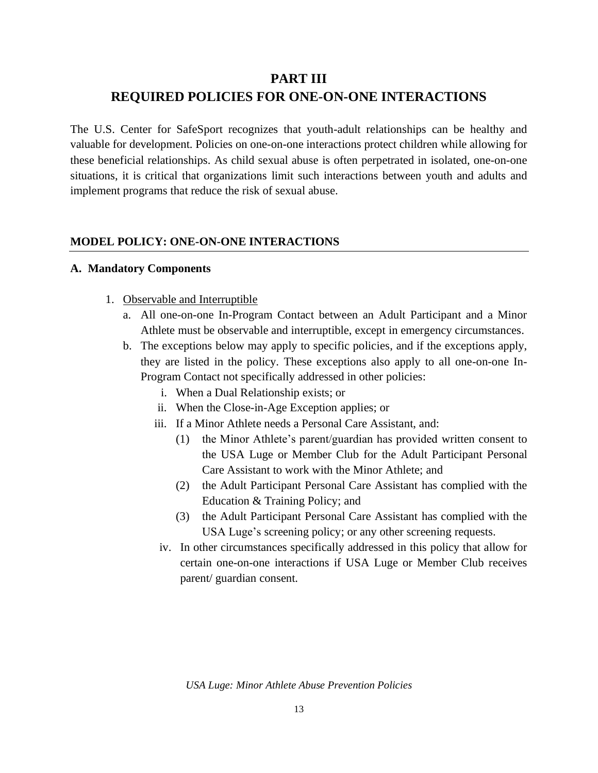## **PART III**

## **REQUIRED POLICIES FOR ONE-ON-ONE INTERACTIONS**

The U.S. Center for SafeSport recognizes that youth-adult relationships can be healthy and valuable for development. Policies on one-on-one interactions protect children while allowing for these beneficial relationships. As child sexual abuse is often perpetrated in isolated, one-on-one situations, it is critical that organizations limit such interactions between youth and adults and implement programs that reduce the risk of sexual abuse.

#### **MODEL POLICY: ONE-ON-ONE INTERACTIONS**

#### **A. Mandatory Components**

- 1. Observable and Interruptible
	- a. All one-on-one In-Program Contact between an Adult Participant and a Minor Athlete must be observable and interruptible, except in emergency circumstances.
	- b. The exceptions below may apply to specific policies, and if the exceptions apply, they are listed in the policy. These exceptions also apply to all one-on-one In-Program Contact not specifically addressed in other policies:
		- i. When a Dual Relationship exists; or
		- ii. When the Close-in-Age Exception applies; or
		- iii. If a Minor Athlete needs a Personal Care Assistant, and:
			- (1) the Minor Athlete's parent/guardian has provided written consent to the USA Luge or Member Club for the Adult Participant Personal Care Assistant to work with the Minor Athlete; and
			- (2) the Adult Participant Personal Care Assistant has complied with the Education & Training Policy; and
			- (3) the Adult Participant Personal Care Assistant has complied with the USA Luge's screening policy; or any other screening requests.
		- iv. In other circumstances specifically addressed in this policy that allow for certain one-on-one interactions if USA Luge or Member Club receives parent/ guardian consent.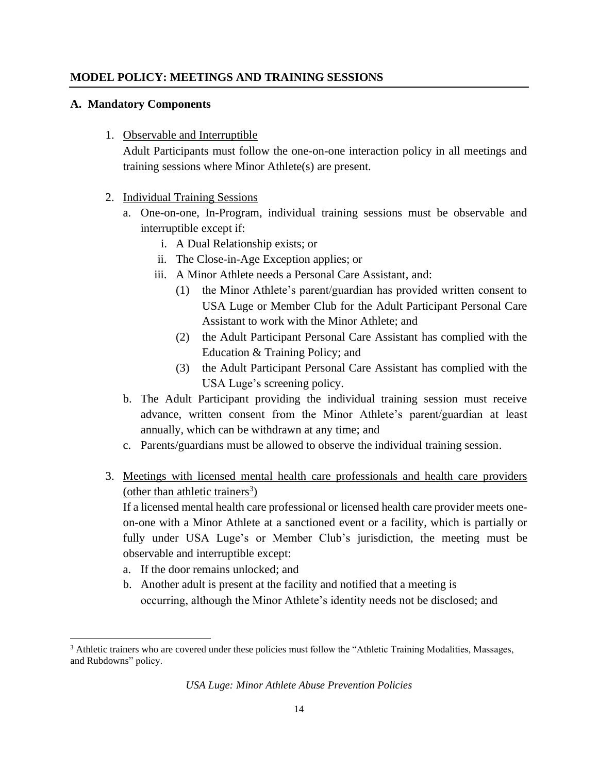#### **MODEL POLICY: MEETINGS AND TRAINING SESSIONS**

#### **A. Mandatory Components**

1. Observable and Interruptible

Adult Participants must follow the one-on-one interaction policy in all meetings and training sessions where Minor Athlete(s) are present.

- 2. Individual Training Sessions
	- a. One-on-one, In-Program, individual training sessions must be observable and interruptible except if:
		- i. A Dual Relationship exists; or
		- ii. The Close-in-Age Exception applies; or
		- iii. A Minor Athlete needs a Personal Care Assistant, and:
			- (1) the Minor Athlete's parent/guardian has provided written consent to USA Luge or Member Club for the Adult Participant Personal Care Assistant to work with the Minor Athlete; and
			- (2) the Adult Participant Personal Care Assistant has complied with the Education & Training Policy; and
			- (3) the Adult Participant Personal Care Assistant has complied with the USA Luge's screening policy.
	- b. The Adult Participant providing the individual training session must receive advance, written consent from the Minor Athlete's parent/guardian at least annually, which can be withdrawn at any time; and
	- c. Parents/guardians must be allowed to observe the individual training session.
- 3. Meetings with licensed mental health care professionals and health care providers (other than athletic trainers<sup>3</sup>)

If a licensed mental health care professional or licensed health care provider meets oneon-one with a Minor Athlete at a sanctioned event or a facility, which is partially or fully under USA Luge's or Member Club's jurisdiction, the meeting must be observable and interruptible except:

- a. If the door remains unlocked; and
- b. Another adult is present at the facility and notified that a meeting is occurring, although the Minor Athlete's identity needs not be disclosed; and

<sup>&</sup>lt;sup>3</sup> Athletic trainers who are covered under these policies must follow the "Athletic Training Modalities, Massages, and Rubdowns" policy.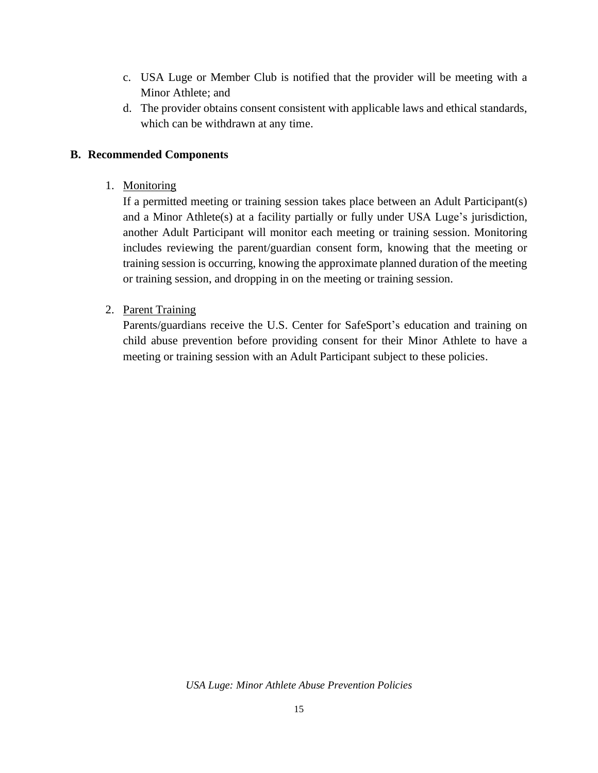- c. USA Luge or Member Club is notified that the provider will be meeting with a Minor Athlete; and
- d. The provider obtains consent consistent with applicable laws and ethical standards, which can be withdrawn at any time.

#### **B. Recommended Components**

1. Monitoring

If a permitted meeting or training session takes place between an Adult Participant(s) and a Minor Athlete(s) at a facility partially or fully under USA Luge's jurisdiction, another Adult Participant will monitor each meeting or training session. Monitoring includes reviewing the parent/guardian consent form, knowing that the meeting or training session is occurring, knowing the approximate planned duration of the meeting or training session, and dropping in on the meeting or training session.

2. Parent Training

Parents/guardians receive the U.S. Center for SafeSport's education and training on child abuse prevention before providing consent for their Minor Athlete to have a meeting or training session with an Adult Participant subject to these policies.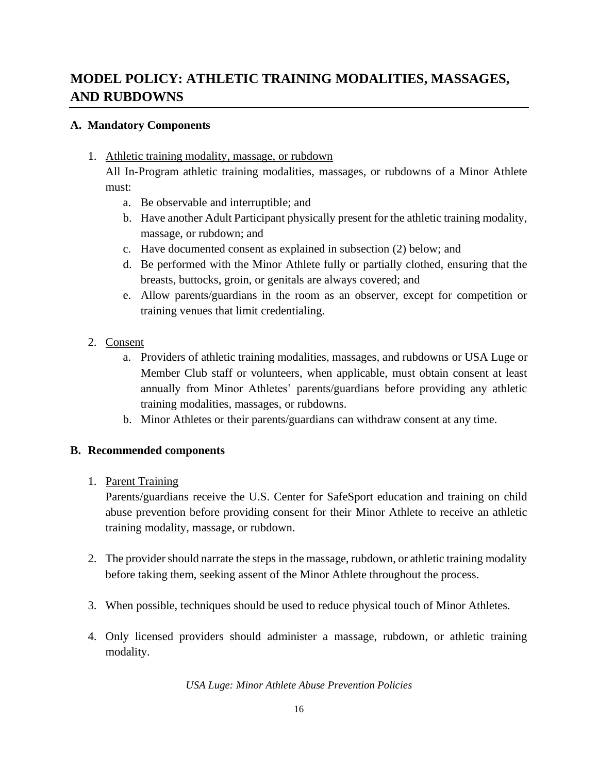# **MODEL POLICY: ATHLETIC TRAINING MODALITIES, MASSAGES, AND RUBDOWNS**

## **A. Mandatory Components**

1. Athletic training modality, massage, or rubdown

All In-Program athletic training modalities, massages, or rubdowns of a Minor Athlete must:

- a. Be observable and interruptible; and
- b. Have another Adult Participant physically present for the athletic training modality, massage, or rubdown; and
- c. Have documented consent as explained in subsection (2) below; and
- d. Be performed with the Minor Athlete fully or partially clothed, ensuring that the breasts, buttocks, groin, or genitals are always covered; and
- e. Allow parents/guardians in the room as an observer, except for competition or training venues that limit credentialing.
- 2. Consent
	- a. Providers of athletic training modalities, massages, and rubdowns or USA Luge or Member Club staff or volunteers, when applicable, must obtain consent at least annually from Minor Athletes' parents/guardians before providing any athletic training modalities, massages, or rubdowns.
	- b. Minor Athletes or their parents/guardians can withdraw consent at any time.

## **B. Recommended components**

1. Parent Training

 Parents/guardians receive the U.S. Center for SafeSport education and training on child abuse prevention before providing consent for their Minor Athlete to receive an athletic training modality, massage, or rubdown.

- 2. The provider should narrate the steps in the massage, rubdown, or athletic training modality before taking them, seeking assent of the Minor Athlete throughout the process.
- 3. When possible, techniques should be used to reduce physical touch of Minor Athletes.
- 4. Only licensed providers should administer a massage, rubdown, or athletic training modality.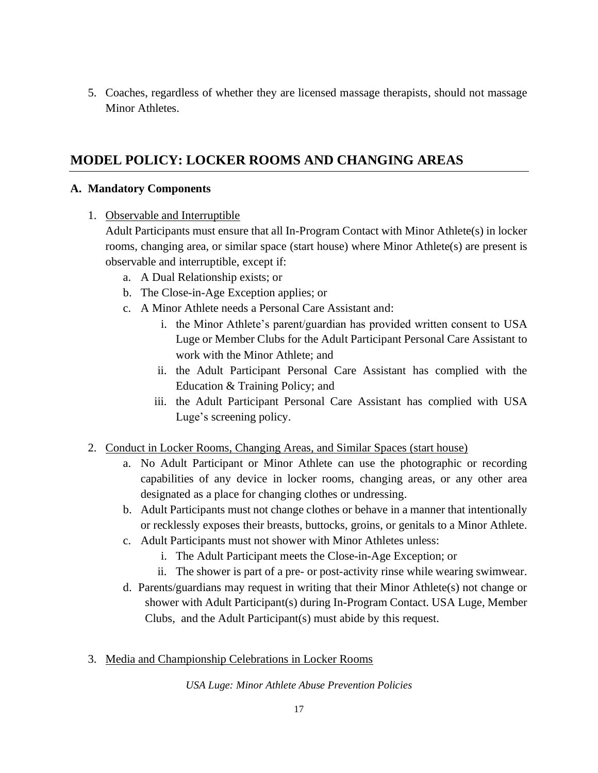5. Coaches, regardless of whether they are licensed massage therapists, should not massage Minor Athletes.

# **MODEL POLICY: LOCKER ROOMS AND CHANGING AREAS**

#### **A. Mandatory Components**

1. Observable and Interruptible

Adult Participants must ensure that all In-Program Contact with Minor Athlete(s) in locker rooms, changing area, or similar space (start house) where Minor Athlete(s) are present is observable and interruptible, except if:

- a. A Dual Relationship exists; or
- b. The Close-in-Age Exception applies; or
- c. A Minor Athlete needs a Personal Care Assistant and:
	- i. the Minor Athlete's parent/guardian has provided written consent to USA Luge or Member Clubs for the Adult Participant Personal Care Assistant to work with the Minor Athlete; and
	- ii. the Adult Participant Personal Care Assistant has complied with the Education & Training Policy; and
	- iii. the Adult Participant Personal Care Assistant has complied with USA Luge's screening policy.
- 2. Conduct in Locker Rooms, Changing Areas, and Similar Spaces (start house)
	- a. No Adult Participant or Minor Athlete can use the photographic or recording capabilities of any device in locker rooms, changing areas, or any other area designated as a place for changing clothes or undressing.
	- b. Adult Participants must not change clothes or behave in a manner that intentionally or recklessly exposes their breasts, buttocks, groins, or genitals to a Minor Athlete.
	- c. Adult Participants must not shower with Minor Athletes unless:
		- i. The Adult Participant meets the Close-in-Age Exception; or
		- ii. The shower is part of a pre- or post-activity rinse while wearing swimwear.
	- d. Parents/guardians may request in writing that their Minor Athlete(s) not change or shower with Adult Participant(s) during In-Program Contact. USA Luge, Member Clubs, and the Adult Participant(s) must abide by this request.
- 3. Media and Championship Celebrations in Locker Rooms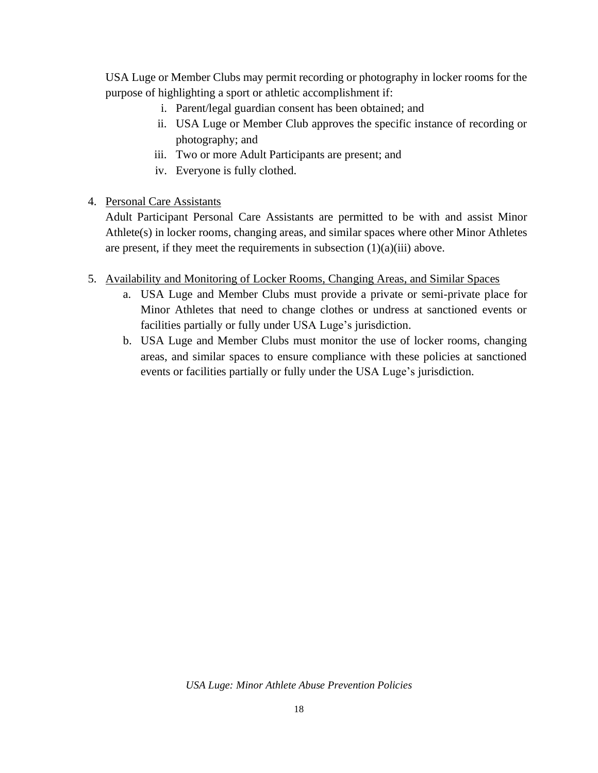USA Luge or Member Clubs may permit recording or photography in locker rooms for the purpose of highlighting a sport or athletic accomplishment if:

- i. Parent/legal guardian consent has been obtained; and
- ii. USA Luge or Member Club approves the specific instance of recording or photography; and
- iii. Two or more Adult Participants are present; and
- iv. Everyone is fully clothed.

## 4. Personal Care Assistants

 Adult Participant Personal Care Assistants are permitted to be with and assist Minor Athlete(s) in locker rooms, changing areas, and similar spaces where other Minor Athletes are present, if they meet the requirements in subsection  $(1)(a)(iii)$  above.

## 5. Availability and Monitoring of Locker Rooms, Changing Areas, and Similar Spaces

- a. USA Luge and Member Clubs must provide a private or semi-private place for Minor Athletes that need to change clothes or undress at sanctioned events or facilities partially or fully under USA Luge's jurisdiction.
- b. USA Luge and Member Clubs must monitor the use of locker rooms, changing areas, and similar spaces to ensure compliance with these policies at sanctioned events or facilities partially or fully under the USA Luge's jurisdiction.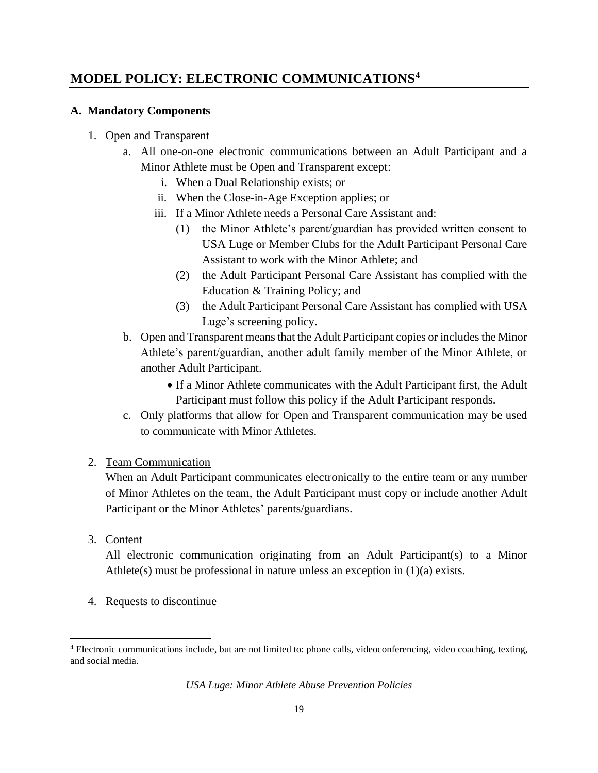# **MODEL POLICY: ELECTRONIC COMMUNICATIONS<sup>4</sup>**

## **A. Mandatory Components**

## 1. Open and Transparent

- a. All one-on-one electronic communications between an Adult Participant and a Minor Athlete must be Open and Transparent except:
	- i. When a Dual Relationship exists; or
	- ii. When the Close-in-Age Exception applies; or
	- iii. If a Minor Athlete needs a Personal Care Assistant and:
		- (1) the Minor Athlete's parent/guardian has provided written consent to USA Luge or Member Clubs for the Adult Participant Personal Care Assistant to work with the Minor Athlete; and
		- (2) the Adult Participant Personal Care Assistant has complied with the Education & Training Policy; and
		- (3) the Adult Participant Personal Care Assistant has complied with USA Luge's screening policy.
- b. Open and Transparent means that the Adult Participant copies or includes the Minor Athlete's parent/guardian, another adult family member of the Minor Athlete, or another Adult Participant.
	- If a Minor Athlete communicates with the Adult Participant first, the Adult Participant must follow this policy if the Adult Participant responds.
- c. Only platforms that allow for Open and Transparent communication may be used to communicate with Minor Athletes.

## 2. Team Communication

 When an Adult Participant communicates electronically to the entire team or any number of Minor Athletes on the team, the Adult Participant must copy or include another Adult Participant or the Minor Athletes' parents/guardians.

3. Content

All electronic communication originating from an Adult Participant(s) to a Minor Athlete(s) must be professional in nature unless an exception in (1)(a) exists.

4. Requests to discontinue

<sup>4</sup> Electronic communications include, but are not limited to: phone calls, videoconferencing, video coaching, texting, and social media.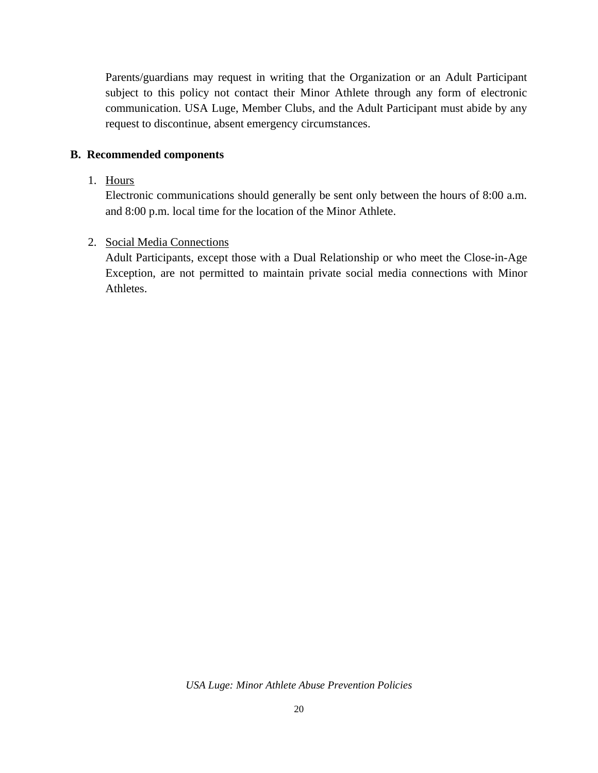Parents/guardians may request in writing that the Organization or an Adult Participant subject to this policy not contact their Minor Athlete through any form of electronic communication. USA Luge, Member Clubs, and the Adult Participant must abide by any request to discontinue, absent emergency circumstances.

#### **B. Recommended components**

#### 1. Hours

Electronic communications should generally be sent only between the hours of 8:00 a.m. and 8:00 p.m. local time for the location of the Minor Athlete.

#### 2. Social Media Connections

Adult Participants, except those with a Dual Relationship or who meet the Close-in-Age Exception, are not permitted to maintain private social media connections with Minor Athletes.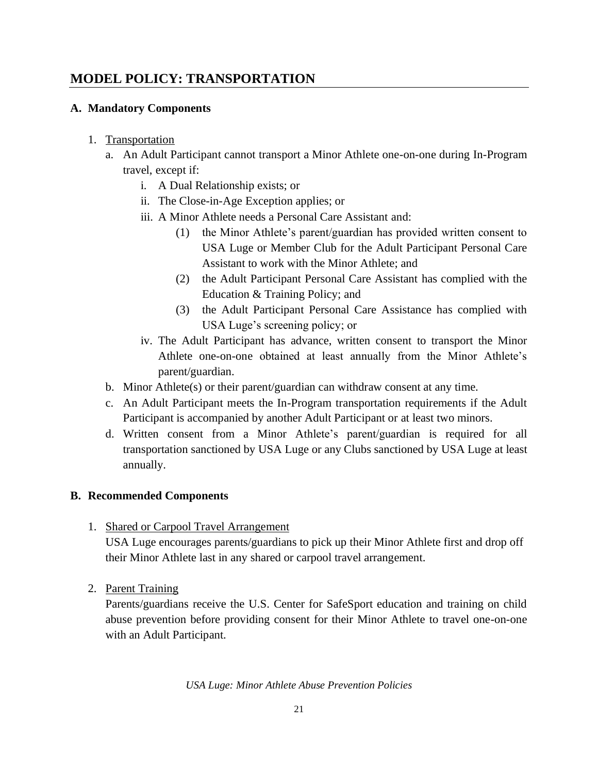# **MODEL POLICY: TRANSPORTATION**

## **A. Mandatory Components**

- 1. Transportation
	- a. An Adult Participant cannot transport a Minor Athlete one-on-one during In-Program travel, except if:
		- i. A Dual Relationship exists; or
		- ii. The Close-in-Age Exception applies; or
		- iii. A Minor Athlete needs a Personal Care Assistant and:
			- (1) the Minor Athlete's parent/guardian has provided written consent to USA Luge or Member Club for the Adult Participant Personal Care Assistant to work with the Minor Athlete; and
			- (2) the Adult Participant Personal Care Assistant has complied with the Education & Training Policy; and
			- (3) the Adult Participant Personal Care Assistance has complied with USA Luge's screening policy; or
		- iv. The Adult Participant has advance, written consent to transport the Minor Athlete one-on-one obtained at least annually from the Minor Athlete's parent/guardian.
	- b. Minor Athlete(s) or their parent/guardian can withdraw consent at any time.
	- c. An Adult Participant meets the In-Program transportation requirements if the Adult Participant is accompanied by another Adult Participant or at least two minors.
	- d. Written consent from a Minor Athlete's parent/guardian is required for all transportation sanctioned by USA Luge or any Clubs sanctioned by USA Luge at least annually.

## **B. Recommended Components**

1. Shared or Carpool Travel Arrangement

USA Luge encourages parents/guardians to pick up their Minor Athlete first and drop off their Minor Athlete last in any shared or carpool travel arrangement.

2. Parent Training

Parents/guardians receive the U.S. Center for SafeSport education and training on child abuse prevention before providing consent for their Minor Athlete to travel one-on-one with an Adult Participant.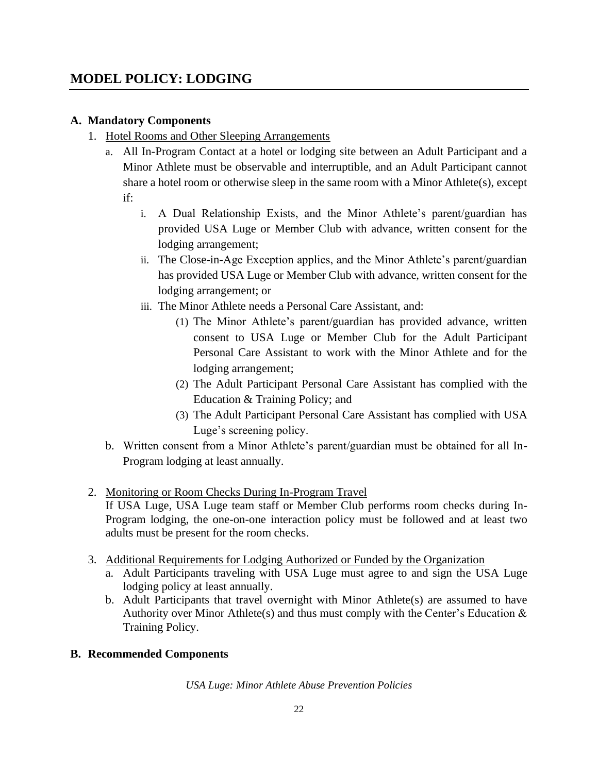# **MODEL POLICY: LODGING**

## **A. Mandatory Components**

- 1. Hotel Rooms and Other Sleeping Arrangements
	- a. All In-Program Contact at a hotel or lodging site between an Adult Participant and a Minor Athlete must be observable and interruptible, and an Adult Participant cannot share a hotel room or otherwise sleep in the same room with a Minor Athlete(s), except if:
		- i. A Dual Relationship Exists, and the Minor Athlete's parent/guardian has provided USA Luge or Member Club with advance, written consent for the lodging arrangement;
		- ii. The Close-in-Age Exception applies, and the Minor Athlete's parent/guardian has provided USA Luge or Member Club with advance, written consent for the lodging arrangement; or
		- iii. The Minor Athlete needs a Personal Care Assistant, and:
			- (1) The Minor Athlete's parent/guardian has provided advance, written consent to USA Luge or Member Club for the Adult Participant Personal Care Assistant to work with the Minor Athlete and for the lodging arrangement;
			- (2) The Adult Participant Personal Care Assistant has complied with the Education & Training Policy; and
			- (3) The Adult Participant Personal Care Assistant has complied with USA Luge's screening policy.
	- b. Written consent from a Minor Athlete's parent/guardian must be obtained for all In-Program lodging at least annually.
- 2. Monitoring or Room Checks During In-Program Travel

If USA Luge, USA Luge team staff or Member Club performs room checks during In-Program lodging, the one-on-one interaction policy must be followed and at least two adults must be present for the room checks.

- 3. Additional Requirements for Lodging Authorized or Funded by the Organization
	- a. Adult Participants traveling with USA Luge must agree to and sign the USA Luge lodging policy at least annually.
	- b. Adult Participants that travel overnight with Minor Athlete(s) are assumed to have Authority over Minor Athlete(s) and thus must comply with the Center's Education  $\&$ Training Policy.

#### **B. Recommended Components**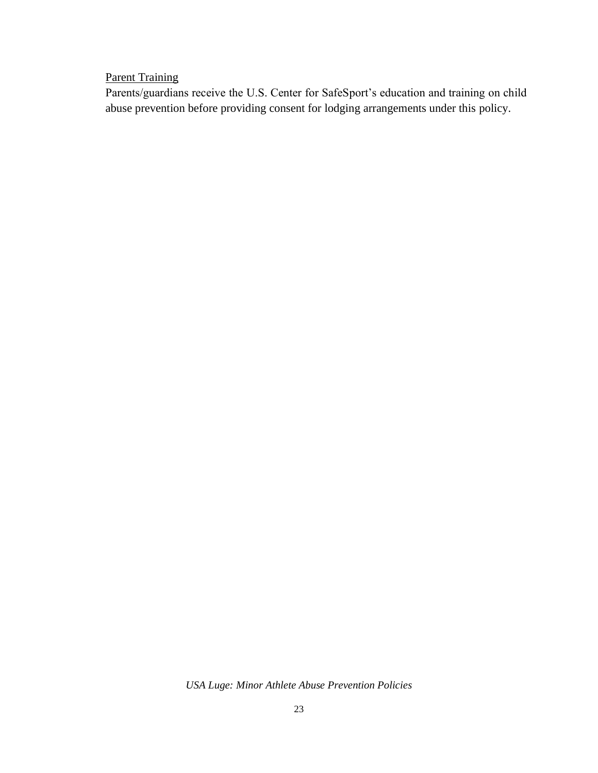## **Parent Training**

Parents/guardians receive the U.S. Center for SafeSport's education and training on child abuse prevention before providing consent for lodging arrangements under this policy.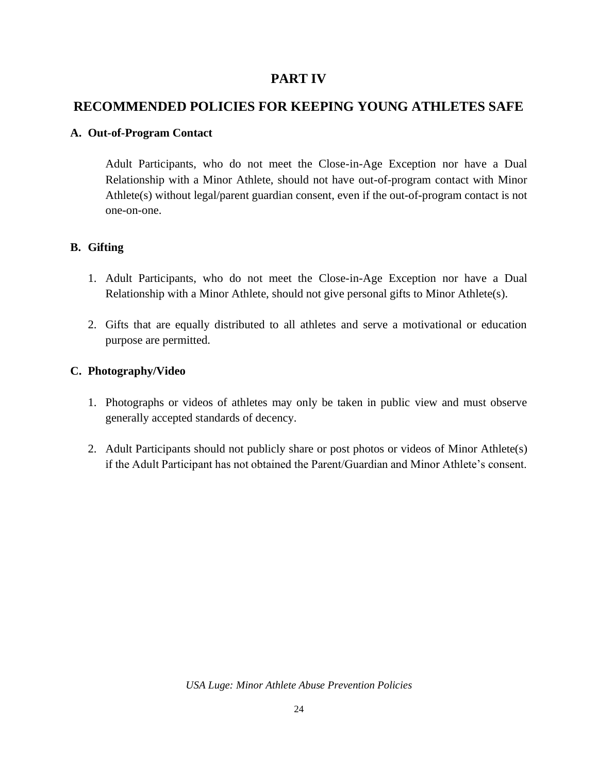## **PART IV**

# **RECOMMENDED POLICIES FOR KEEPING YOUNG ATHLETES SAFE**

## **A. Out-of-Program Contact**

Adult Participants, who do not meet the Close-in-Age Exception nor have a Dual Relationship with a Minor Athlete, should not have out-of-program contact with Minor Athlete(s) without legal/parent guardian consent, even if the out-of-program contact is not one-on-one.

## **B. Gifting**

- 1. Adult Participants, who do not meet the Close-in-Age Exception nor have a Dual Relationship with a Minor Athlete, should not give personal gifts to Minor Athlete(s).
- 2. Gifts that are equally distributed to all athletes and serve a motivational or education purpose are permitted.

## **C. Photography/Video**

- 1. Photographs or videos of athletes may only be taken in public view and must observe generally accepted standards of decency.
- 2. Adult Participants should not publicly share or post photos or videos of Minor Athlete(s) if the Adult Participant has not obtained the Parent/Guardian and Minor Athlete's consent.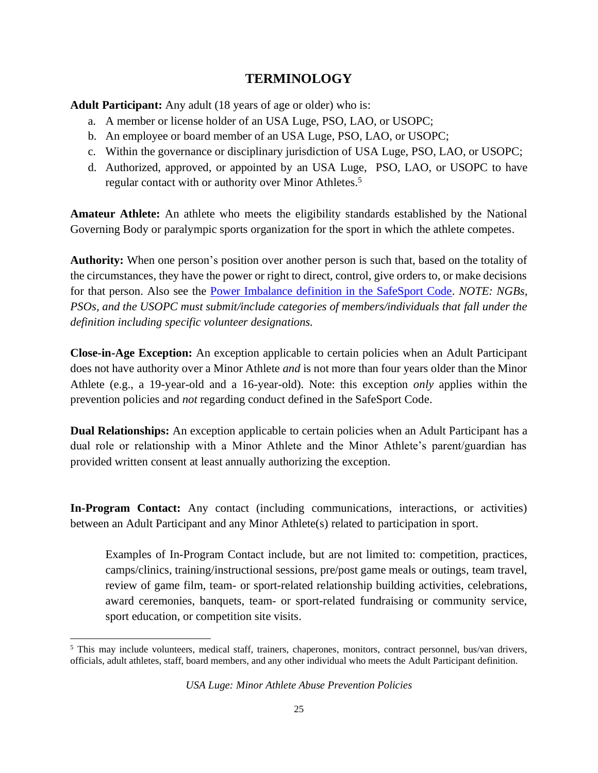# **TERMINOLOGY**

**Adult Participant:** Any adult (18 years of age or older) who is:

- a. A member or license holder of an USA Luge, PSO, LAO, or USOPC;
- b. An employee or board member of an USA Luge, PSO, LAO, or USOPC;
- c. Within the governance or disciplinary jurisdiction of USA Luge, PSO, LAO, or USOPC;
- d. Authorized, approved, or appointed by an USA Luge, PSO, LAO, or USOPC to have regular contact with or authority over Minor Athletes.<sup>5</sup>

**Amateur Athlete:** An athlete who meets the eligibility standards established by the National Governing Body or paralympic sports organization for the sport in which the athlete competes.

**Authority:** When one person's position over another person is such that, based on the totality of the circumstances, they have the power or right to direct, control, give orders to, or make decisions for that person. Also see the [Power Imbalance definition in the SafeSport Code.](https://uscenterforsafesport.org/response-and-resolution/safesport-code/) *NOTE: NGBs, PSOs, and the USOPC must submit/include categories of members/individuals that fall under the definition including specific volunteer designations.*

**Close-in-Age Exception:** An exception applicable to certain policies when an Adult Participant does not have authority over a Minor Athlete *and* is not more than four years older than the Minor Athlete (e.g., a 19-year-old and a 16-year-old). Note: this exception *only* applies within the prevention policies and *not* regarding conduct defined in the SafeSport Code.

**Dual Relationships:** An exception applicable to certain policies when an Adult Participant has a dual role or relationship with a Minor Athlete and the Minor Athlete's parent/guardian has provided written consent at least annually authorizing the exception.

**In-Program Contact:** Any contact (including communications, interactions, or activities) between an Adult Participant and any Minor Athlete(s) related to participation in sport.

Examples of In-Program Contact include, but are not limited to: competition, practices, camps/clinics, training/instructional sessions, pre/post game meals or outings, team travel, review of game film, team- or sport-related relationship building activities, celebrations, award ceremonies, banquets, team- or sport-related fundraising or community service, sport education, or competition site visits.

<sup>5</sup> This may include volunteers, medical staff, trainers, chaperones, monitors, contract personnel, bus/van drivers, officials, adult athletes, staff, board members, and any other individual who meets the Adult Participant definition.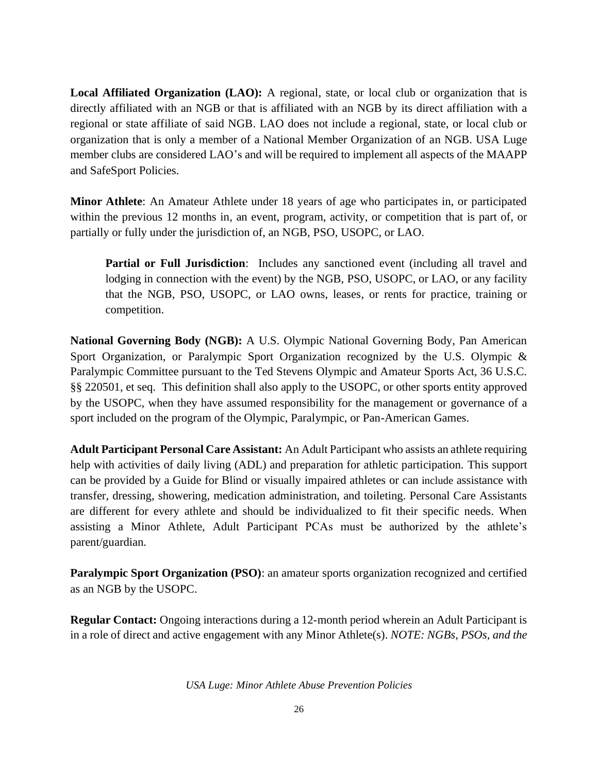**Local Affiliated Organization (LAO):** A regional, state, or local club or organization that is directly affiliated with an NGB or that is affiliated with an NGB by its direct affiliation with a regional or state affiliate of said NGB. LAO does not include a regional, state, or local club or organization that is only a member of a National Member Organization of an NGB. USA Luge member clubs are considered LAO's and will be required to implement all aspects of the MAAPP and SafeSport Policies.

**Minor Athlete**: An Amateur Athlete under 18 years of age who participates in, or participated within the previous 12 months in, an event, program, activity, or competition that is part of, or partially or fully under the jurisdiction of, an NGB, PSO, USOPC, or LAO.

**Partial or Full Jurisdiction**: Includes any sanctioned event (including all travel and lodging in connection with the event) by the NGB, PSO, USOPC, or LAO, or any facility that the NGB, PSO, USOPC, or LAO owns, leases, or rents for practice, training or competition.

**National Governing Body (NGB):** A U.S. Olympic National Governing Body, Pan American Sport Organization, or Paralympic Sport Organization recognized by the U.S. Olympic & Paralympic Committee pursuant to the Ted Stevens Olympic and Amateur Sports Act, 36 U.S.C. §§ 220501, et seq. This definition shall also apply to the USOPC, or other sports entity approved by the USOPC, when they have assumed responsibility for the management or governance of a sport included on the program of the Olympic, Paralympic, or Pan-American Games.

**Adult Participant Personal Care Assistant:** An Adult Participant who assists an athlete requiring help with activities of daily living (ADL) and preparation for athletic participation. This support can be provided by a Guide for Blind or visually impaired athletes or can include assistance with transfer, dressing, showering, medication administration, and toileting. Personal Care Assistants are different for every athlete and should be individualized to fit their specific needs. When assisting a Minor Athlete, Adult Participant PCAs must be authorized by the athlete's parent/guardian.

**Paralympic Sport Organization (PSO)**: an amateur sports organization recognized and certified as an NGB by the USOPC.

**Regular Contact:** Ongoing interactions during a 12-month period wherein an Adult Participant is in a role of direct and active engagement with any Minor Athlete(s). *NOTE: NGBs, PSOs, and the*